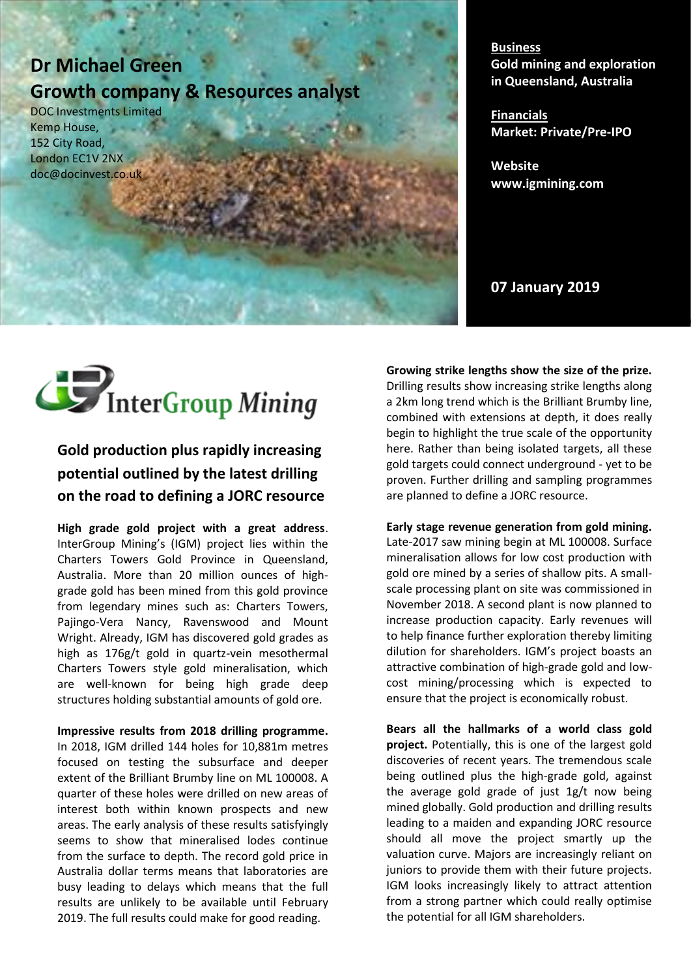# **Dr Michael Green Growth company & Resources analyst**

DOC Investments Limited Kemp House, 152 City Road, London EC1V 2NX doc@docinvest.co.uk

**Business Gold mining and exploration in Queensland, Australia**

**Financials Market: Private/Pre-IPO**

**Website www.igmining.com**

**07 January 2019**



# **Gold production plus rapidly increasing** potential outlined by the latest drilling on the road to defining a JORC resource

High grade gold project with a great address. InterGroup Mining's (IGM) project lies within the Charters Towers Gold Province in Queensland, Australia. More than 20 million ounces of highgrade gold has been mined from this gold province from legendary mines such as: Charters Towers, Pajingo-Vera Nancy, Ravenswood and Mount Wright. Already, IGM has discovered gold grades as high as 176g/t gold in quartz-vein mesothermal Charters Towers style gold mineralisation, which are well-known for being high grade deep structures holding substantial amounts of gold ore.

Impressive results from 2018 drilling programme. In 2018, IGM drilled 144 holes for 10,881m metres focused on testing the subsurface and deeper extent of the Brilliant Brumby line on ML 100008. A quarter of these holes were drilled on new areas of interest both within known prospects and new areas. The early analysis of these results satisfyingly seems to show that mineralised lodes continue from the surface to depth. The record gold price in Australia dollar terms means that laboratories are busy leading to delays which means that the full results are unlikely to be available until February 2019. The full results could make for good reading.

**Growing strike lengths show the size of the prize.** Drilling results show increasing strike lengths along<br>
and the the the the strike in the strike lengths in a 2km long trend which is the Brilliant Brumby line, combined with extensions at depth, it does really begin to highlight the true scale of the opportunity here. Rather than being isolated targets, all these gold targets could connect underground - yet to be<br>gold targets could connect underground - yet to be proven. Further drilling and sampling programmes are planned to define a JORC resource.

market which he sees as ripe for consolidation and Early stage revenue generation from gold mining.<br> **Early stage revenue generation from gold mining.** mineralisation allows for low cost production with gold ore mined by a series of shallow pits. A smallscale processing plant on site was commissioned in November 2018. A second plant is now planned to increase production capacity. Early revenues will to help finance further exploration thereby limiting<br>the state of the checked its whole fact the state is the state of dilution for shareholders. IGM's project boasts an attractive combination of high-grade gold and low-<br>Attractive combination of high-grade gold and lowcost mining/processing which is expected to ensure that the project is economically robust. Late-2017 saw mining begin at ML 100008. Surface

iphones) and Kronometry (exquisite watches). **Lucia** Following 18 and the market will be made to make the many discoveries of recent years. The tremendous scale being outlined plus the high-grade gold, against the average gold grade of just  $1g/t$  now being mined globally. Gold production and drilling results leading to a maiden and expanding JORC resource should all move the project smartly up the \$125 million per year dwarfing yachting. By this valuation curve. Majors are increasingly reliant on juniors to provide them with their future projects. IGM looks increasingly likely to attract attention from a strong partner which could really optimise the potential for all IGM shareholders. **Bears all the hallmarks of a world class gold project.** Potentially, this is one of the largest gold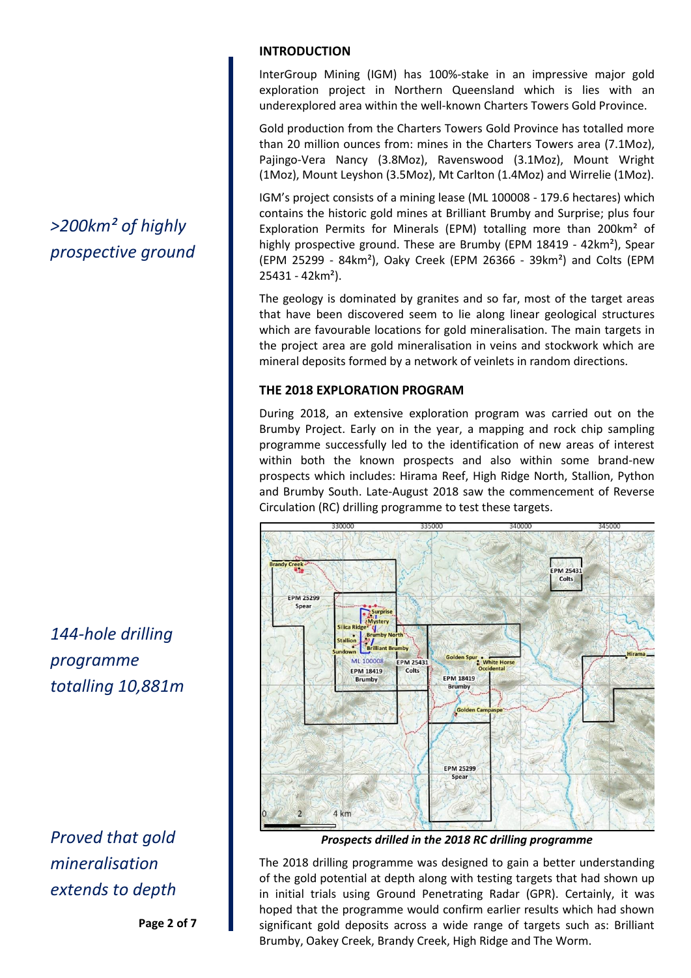# *>200km² of highly prospective ground*

*144-hole drilling programme totalling 10,881m*

*Proved that gold mineralisation extends to depth*

**Page 2 of 7**

# **INTRODUCTION**

InterGroup Mining (IGM) has 100%-stake in an impressive major gold exploration project in Northern Queensland which is lies with an underexplored area within the well-known Charters Towers Gold Province.

Gold production from the Charters Towers Gold Province has totalled more than 20 million ounces from: mines in the Charters Towers area (7.1Moz), Pajingo-Vera Nancy (3.8Moz), Ravenswood (3.1Moz), Mount Wright (1Moz), Mount Leyshon (3.5Moz), Mt Carlton (1.4Moz) and Wirrelie (1Moz).

IGM's project consists of a mining lease (ML 100008 - 179.6 hectares) which contains the historic gold mines at Brilliant Brumby and Surprise; plus four Exploration Permits for Minerals (EPM) totalling more than 200km² of highly prospective ground. These are Brumby (EPM 18419 - 42km²), Spear (EPM 25299 - 84km²), Oaky Creek (EPM 26366 - 39km²) and Colts (EPM 25431 - 42km²).

The geology is dominated by granites and so far, most of the target areas that have been discovered seem to lie along linear geological structures which are favourable locations for gold mineralisation. The main targets in the project area are gold mineralisation in veins and stockwork which are mineral deposits formed by a network of veinlets in random directions.

# **THE 2018 EXPLORATION PROGRAM**

During 2018, an extensive exploration program was carried out on the Brumby Project. Early on in the year, a mapping and rock chip sampling programme successfully led to the identification of new areas of interest within both the known prospects and also within some brand-new prospects which includes: Hirama Reef, High Ridge North, Stallion, Python and Brumby South. Late-August 2018 saw the commencement of Reverse Circulation (RC) drilling programme to test these targets.



*Prospects drilled in the 2018 RC drilling programme*

The 2018 drilling programme was designed to gain a better understanding of the gold potential at depth along with testing targets that had shown up in initial trials using Ground Penetrating Radar (GPR). Certainly, it was hoped that the programme would confirm earlier results which had shown significant gold deposits across a wide range of targets such as: Brilliant Brumby, Oakey Creek, Brandy Creek, High Ridge and The Worm.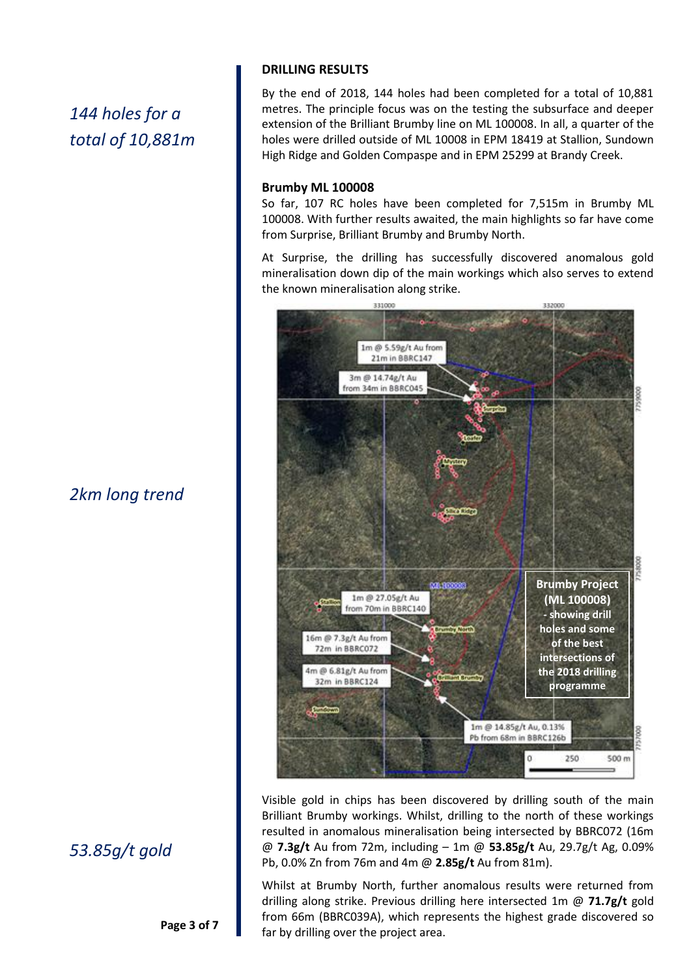# *144 holes for a total of 10,881m*

# *2km long trend*

# *53.85g/t gold*

**Page 3 of 7**

#### **DRILLING RESULTS**

By the end of 2018, 144 holes had been completed for a total of 10,881 metres. The principle focus was on the testing the subsurface and deeper extension of the Brilliant Brumby line on ML 100008. In all, a quarter of the holes were drilled outside of ML 10008 in EPM 18419 at Stallion, Sundown High Ridge and Golden Compaspe and in EPM 25299 at Brandy Creek.

#### **Brumby ML 100008**

So far, 107 RC holes have been completed for 7,515m in Brumby ML 100008. With further results awaited, the main highlights so far have come from Surprise, Brilliant Brumby and Brumby North.

At Surprise, the drilling has successfully discovered anomalous gold mineralisation down dip of the main workings which also serves to extend the known mineralisation along strike.



Visible gold in chips has been discovered by drilling south of the main Brilliant Brumby workings. Whilst, drilling to the north of these workings resulted in anomalous mineralisation being intersected by BBRC072 (16m @ **7.3g/t** Au from 72m, including – 1m @ **53.85g/t** Au, 29.7g/t Ag, 0.09% Pb, 0.0% Zn from 76m and 4m @ **2.85g/t** Au from 81m).

**Long section of Brilliant Brumby &**  drilling along strike. Previous drilling here intersected 1m @ **71.7g/t** gold from 66m (BBRC039A), which represents the highest grade discovered so Whilst at Brumby North, further anomalous results were returned from far by drilling over the project area.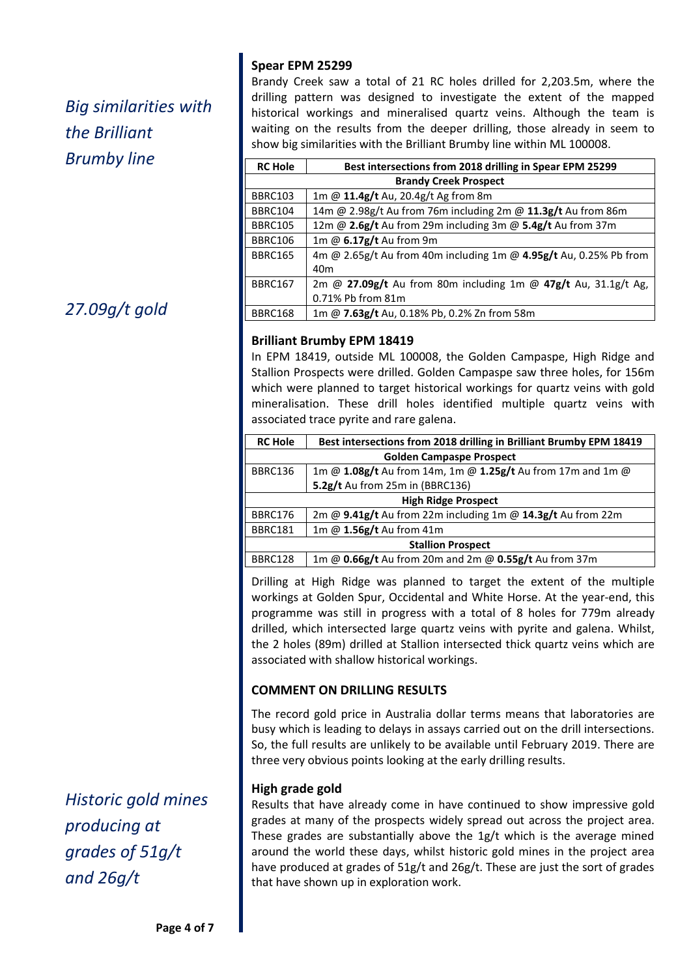# *Big similarities with the Brilliant Brumby line*

*27.09g/t gold*

*Historic gold mines producing at grades of 51g/t and 26g/t*

# **Spear EPM 25299**

Brandy Creek saw a total of 21 RC holes drilled for 2,203.5m, where the drilling pattern was designed to investigate the extent of the mapped historical workings and mineralised quartz veins. Although the team is waiting on the results from the deeper drilling, those already in seem to show big similarities with the Brilliant Brumby line within ML 100008.

| <b>RC Hole</b>               | Best intersections from 2018 drilling in Spear EPM 25299          |  |
|------------------------------|-------------------------------------------------------------------|--|
| <b>Brandy Creek Prospect</b> |                                                                   |  |
| BBRC103                      | 1m @ 11.4g/t Au, 20.4g/t Ag from 8m                               |  |
| BBRC104                      | 14m @ 2.98g/t Au from 76m including 2m @ 11.3g/t Au from 86m      |  |
| <b>BBRC105</b>               | 12m @ 2.6g/t Au from 29m including 3m @ 5.4g/t Au from 37m        |  |
| <b>BBRC106</b>               | 1m @ 6.17g/t Au from 9m                                           |  |
| <b>BBRC165</b>               | 4m @ 2.65g/t Au from 40m including 1m @ 4.95g/t Au, 0.25% Pb from |  |
|                              | 40 <sub>m</sub>                                                   |  |
| <b>BBRC167</b>               | 2m @ 27.09g/t Au from 80m including 1m @ 47g/t Au, 31.1g/t Ag,    |  |
|                              | 0.71% Pb from 81m                                                 |  |
| BBRC168                      | 1m @ 7.63g/t Au, 0.18% Pb, 0.2% Zn from 58m                       |  |

# **Brilliant Brumby EPM 18419**

In EPM 18419, outside ML 100008, the Golden Campaspe, High Ridge and Stallion Prospects were drilled. Golden Campaspe saw three holes, for 156m which were planned to target historical workings for quartz veins with gold mineralisation. These drill holes identified multiple quartz veins with associated trace pyrite and rare galena.

| <b>RC Hole</b>                  | Best intersections from 2018 drilling in Brilliant Brumby EPM 18419 |  |
|---------------------------------|---------------------------------------------------------------------|--|
| <b>Golden Campaspe Prospect</b> |                                                                     |  |
| <b>BBRC136</b>                  | 1m @ 1.08g/t Au from 14m, 1m @ 1.25g/t Au from 17m and 1m @         |  |
|                                 | 5.2g/t Au from 25m in (BBRC136)                                     |  |
| <b>High Ridge Prospect</b>      |                                                                     |  |
| BBRC176                         | 2m @ 9.41g/t Au from 22m including 1m @ 14.3g/t Au from 22m         |  |
| <b>BBRC181</b>                  | 1m @ $1.56g/t$ Au from 41m                                          |  |
| <b>Stallion Prospect</b>        |                                                                     |  |
| BBRC128                         | 1m @ 0.66g/t Au from 20m and 2m @ 0.55g/t Au from 37m               |  |

**Google image** Drilling at High Ridge was planned to target the extent of the multiple workings at Golden Spur, Occidental and White Horse. At the year-end, this programme was still in progress with a total of 8 holes for 779m already drilled, which intersected large quartz veins with pyrite and galena. Whilst, the 2 holes (89m) drilled at Stallion intersected thick quartz veins which are associated with shallow historical workings.

# **COMMENT ON DRILLING RESULTS**

The record gold price in Australia dollar terms means that laboratories are busy which is leading to delays in assays carried out on the drill intersections. So, the full results are unlikely to be available until February 2019. There are three very obvious points looking at the early drilling results.

# **High grade gold**

Results that have already come in have continued to show impressive gold grades at many of the prospects widely spread out across the project area. These grades are substantially above the 1g/t which is the average mined around the world these days, whilst historic gold mines in the project area have produced at grades of 51g/t and 26g/t. These are just the sort of grades that have shown up in exploration work.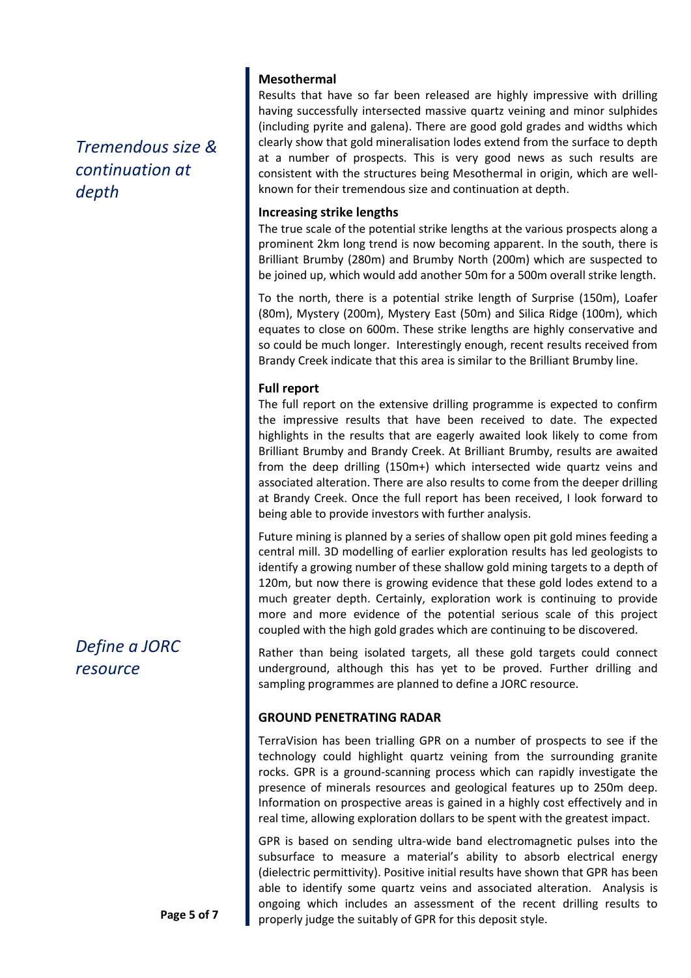# *Tremendous size & continuation at depth*

*Define a JORC resource*

# **Mesothermal**

Results that have so far been released are highly impressive with drilling having successfully intersected massive quartz veining and minor sulphides (including pyrite and galena). There are good gold grades and widths which clearly show that gold mineralisation lodes extend from the surface to depth at a number of prospects. This is very good news as such results are consistent with the structures being Mesothermal in origin, which are wellknown for their tremendous size and continuation at depth.

## **Increasing strike lengths**

The true scale of the potential strike lengths at the various prospects along a prominent 2km long trend is now becoming apparent. In the south, there is Brilliant Brumby (280m) and Brumby North (200m) which are suspected to be joined up, which would add another 50m for a 500m overall strike length.

To the north, there is a potential strike length of Surprise (150m), Loafer (80m), Mystery (200m), Mystery East (50m) and Silica Ridge (100m), which equates to close on 600m. These strike lengths are highly conservative and so could be much longer. Interestingly enough, recent results received from Brandy Creek indicate that this area is similar to the Brilliant Brumby line.

## **Full report**

The full report on the extensive drilling programme is expected to confirm the impressive results that have been received to date. The expected highlights in the results that are eagerly awaited look likely to come from Brilliant Brumby and Brandy Creek. At Brilliant Brumby, results are awaited from the deep drilling (150m+) which intersected wide quartz veins and associated alteration. There are also results to come from the deeper drilling at Brandy Creek. Once the full report has been received, I look forward to being able to provide investors with further analysis.

Future mining is planned by a series of shallow open pit gold mines feeding a central mill. 3D modelling of earlier exploration results has led geologists to identify a growing number of these shallow gold mining targets to a depth of 120m, but now there is growing evidence that these gold lodes extend to a much greater depth. Certainly, exploration work is continuing to provide more and more evidence of the potential serious scale of this project coupled with the high gold grades which are continuing to be discovered.

Rather than being isolated targets, all these gold targets could connect underground, although this has yet to be proved. Further drilling and sampling programmes are planned to define a JORC resource.

# **GROUND PENETRATING RADAR**

TerraVision has been trialling GPR on a number of prospects to see if the technology could highlight quartz veining from the surrounding granite rocks. GPR is a ground-scanning process which can rapidly investigate the presence of minerals resources and geological features up to 250m deep. Information on prospective areas is gained in a highly cost effectively and in real time, allowing exploration dollars to be spent with the greatest impact.

GPR is based on sending ultra-wide band electromagnetic pulses into the subsurface to measure a material's ability to absorb electrical energy (dielectric permittivity). Positive initial results have shown that GPR has been able to identify some quartz veins and associated alteration. Analysis is ongoing which includes an assessment of the recent drilling results to properly judge the suitably of GPR for this deposit style.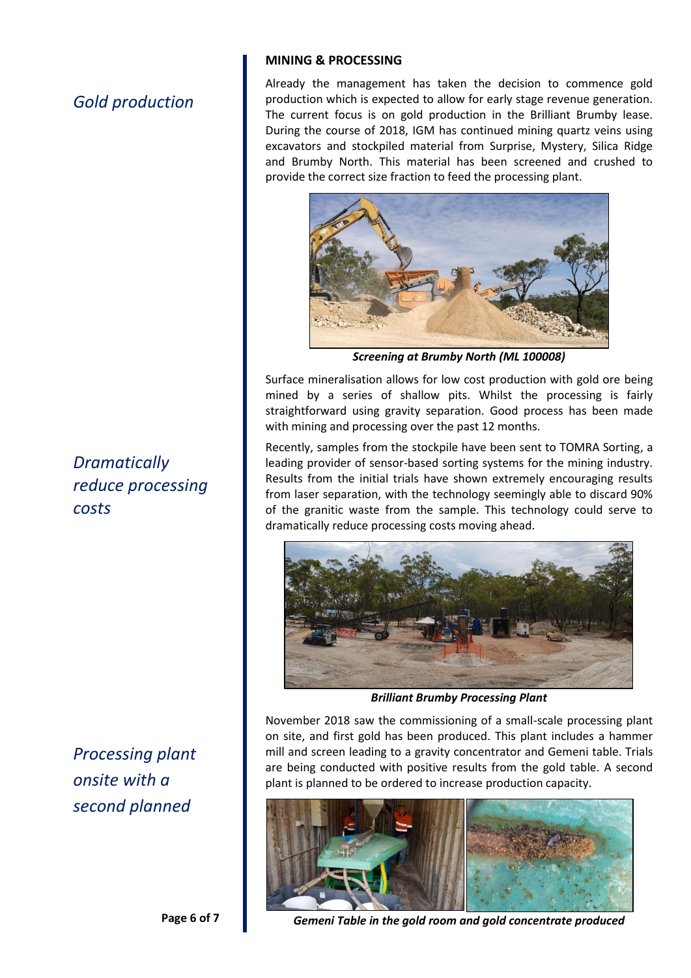# *Gold production*

*Dramatically reduce processing costs*

*Processing plant onsite with a second planned* 

## **MINING & PROCESSING**

Already the management has taken the decision to commence gold production which is expected to allow for early stage revenue generation. The current focus is on gold production in the Brilliant Brumby lease. During the course of 2018, IGM has continued mining quartz veins using excavators and stockpiled material from Surprise, Mystery, Silica Ridge and Brumby North. This material has been screened and crushed to provide the correct size fraction to feed the processing plant.



*Screening at Brumby North (ML 100008)*

Surface mineralisation allows for low cost production with gold ore being mined by a series of shallow pits. Whilst the processing is fairly straightforward using gravity separation. Good process has been made with mining and processing over the past 12 months.

Recently, samples from the stockpile have been sent to TOMRA Sorting, a leading provider of sensor-based sorting systems for the mining industry. Results from the initial trials have shown extremely encouraging results from laser separation, with the technology seemingly able to discard 90% of the granitic waste from the sample. This technology could serve to dramatically reduce processing costs moving ahead.



*Brilliant Brumby Processing Plant*

November 2018 saw the commissioning of a small-scale processing plant on site, and first gold has been produced. This plant includes a hammer mill and screen leading to a gravity concentrator and Gemeni table. Trials are being conducted with positive results from the gold table. A second plant is planned to be ordered to increase production capacity.



*Gemeni Table in the gold room and gold concentrate produced*